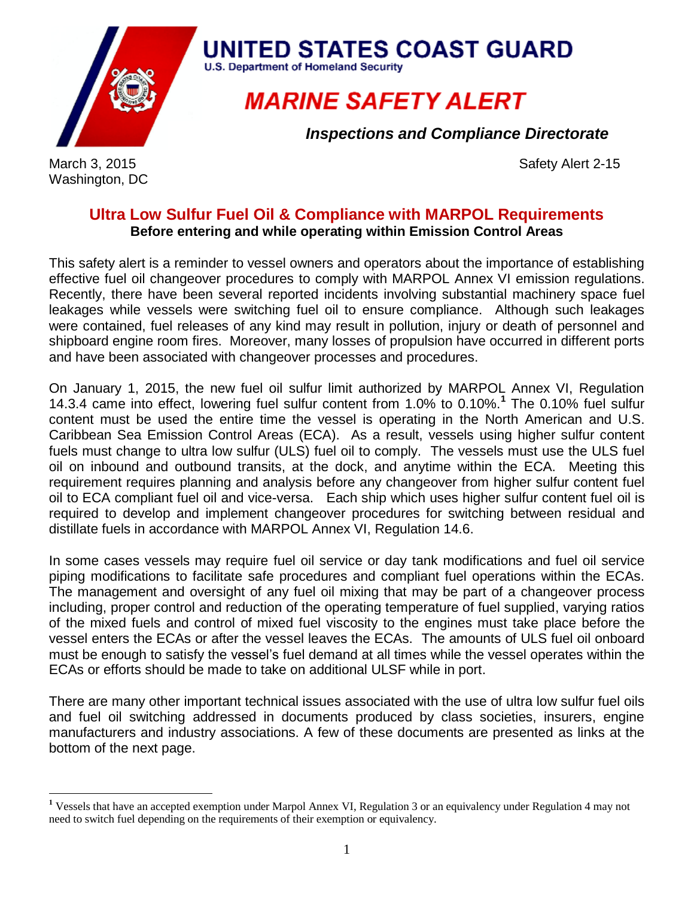

Washington, DC

 $\overline{a}$ 

**UNITED STATES COAST GUARD** U.S. Department of Homeland Security

## **MARINE SAFETY ALERT**

*Inspections and Compliance Directorate*

March 3, 2015 Safety Alert 2-15

## **Ultra Low Sulfur Fuel Oil & Compliance with MARPOL Requirements Before entering and while operating within Emission Control Areas**

This safety alert is a reminder to vessel owners and operators about the importance of establishing effective fuel oil changeover procedures to comply with MARPOL Annex VI emission regulations. Recently, there have been several reported incidents involving substantial machinery space fuel leakages while vessels were switching fuel oil to ensure compliance. Although such leakages were contained, fuel releases of any kind may result in pollution, injury or death of personnel and shipboard engine room fires. Moreover, many losses of propulsion have occurred in different ports and have been associated with changeover processes and procedures.

On January 1, 2015, the new fuel oil sulfur limit authorized by MARPOL Annex VI, Regulation 14.3.4 came into effect, lowering fuel sulfur content from 1.0% to 0.10%.**<sup>1</sup>** The 0.10% fuel sulfur content must be used the entire time the vessel is operating in the North American and U.S. Caribbean Sea Emission Control Areas (ECA). As a result, vessels using higher sulfur content fuels must change to ultra low sulfur (ULS) fuel oil to comply. The vessels must use the ULS fuel oil on inbound and outbound transits, at the dock, and anytime within the ECA. Meeting this requirement requires planning and analysis before any changeover from higher sulfur content fuel oil to ECA compliant fuel oil and vice-versa. Each ship which uses higher sulfur content fuel oil is required to develop and implement changeover procedures for switching between residual and distillate fuels in accordance with MARPOL Annex VI, Regulation 14.6.

In some cases vessels may require fuel oil service or day tank modifications and fuel oil service piping modifications to facilitate safe procedures and compliant fuel operations within the ECAs. The management and oversight of any fuel oil mixing that may be part of a changeover process including, proper control and reduction of the operating temperature of fuel supplied, varying ratios of the mixed fuels and control of mixed fuel viscosity to the engines must take place before the vessel enters the ECAs or after the vessel leaves the ECAs. The amounts of ULS fuel oil onboard must be enough to satisfy the vessel's fuel demand at all times while the vessel operates within the ECAs or efforts should be made to take on additional ULSF while in port.

There are many other important technical issues associated with the use of ultra low sulfur fuel oils and fuel oil switching addressed in documents produced by class societies, insurers, engine manufacturers and industry associations. A few of these documents are presented as links at the bottom of the next page.

**<sup>1</sup>** Vessels that have an accepted exemption under Marpol Annex VI, Regulation 3 or an equivalency under Regulation 4 may not need to switch fuel depending on the requirements of their exemption or equivalency.